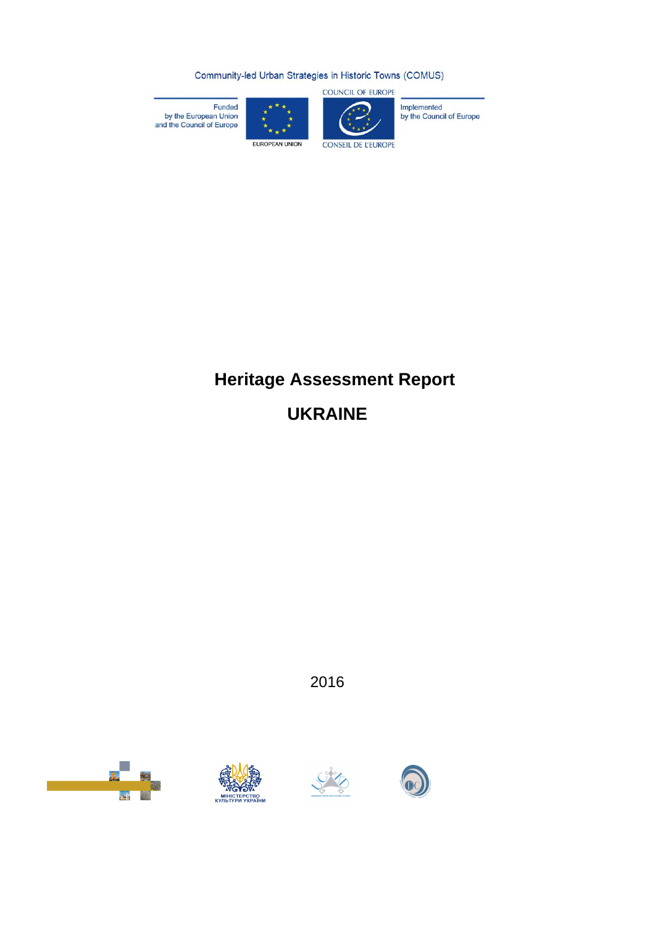Community-led Urban Strategies in Historic Towns (COMUS)



Funded<br>by the European Union<br>and the Council of Europe

Implemented<br>by the Council of Europe

EUROPEAN UNION

# **CONSEIL DE L'EUROPE**

# **Heritage Assessment Report UKRAINE**

2016







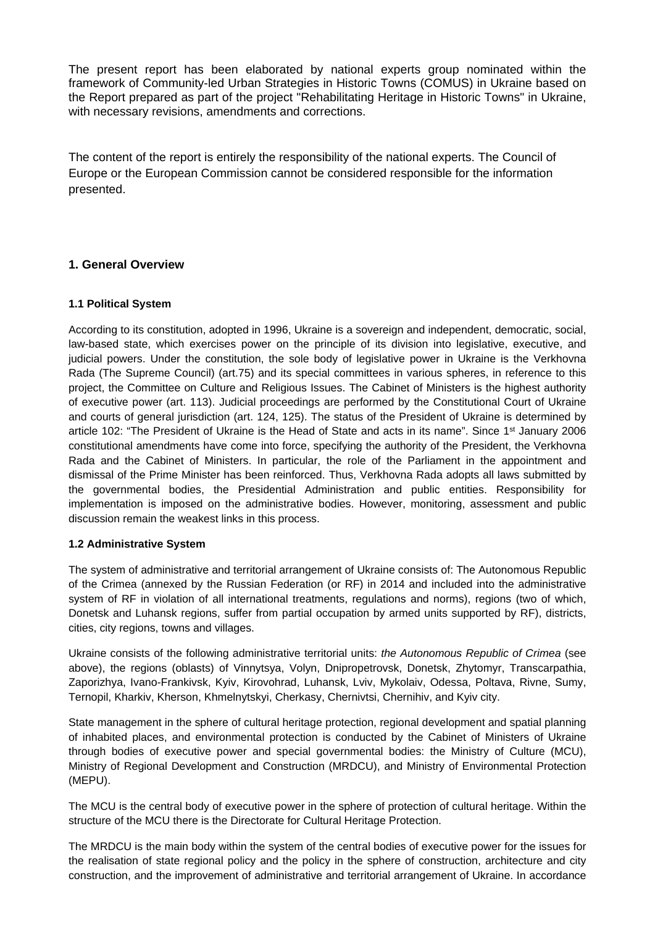The present report has been elaborated by national experts group nominated within the framework of Community-led Urban Strategies in Historic Towns (COMUS) in Ukraine based on the Report prepared as part of the project "Rehabilitating Heritage in Historic Towns" in Ukraine, with necessary revisions, amendments and corrections.

The content of the report is entirely the responsibility of the national experts. The Council of Europe or the European Commission cannot be considered responsible for the information presented.

# **1. General Overview**

#### **1.1 Political System**

According to its constitution, adopted in 1996, Ukraine is a sovereign and independent, democratic, social, law-based state, which exercises power on the principle of its division into legislative, executive, and judicial powers. Under the constitution, the sole body of legislative power in Ukraine is the Verkhovna Rada (The Supreme Council) (art.75) and its special committees in various spheres, in reference to this project, the Committee on Culture and Religious Issues. The Cabinet of Ministers is the highest authority of executive power (art. 113). Judicial proceedings are performed by the Constitutional Court of Ukraine and courts of general jurisdiction (art. 124, 125). The status of the President of Ukraine is determined by article 102: "The President of Ukraine is the Head of State and acts in its name". Since 1<sup>st</sup> January 2006 constitutional amendments have come into force, specifying the authority of the President, the Verkhovna Rada and the Cabinet of Ministers. In particular, the role of the Parliament in the appointment and dismissal of the Prime Minister has been reinforced. Thus, Verkhovna Rada adopts all laws submitted by the governmental bodies, the Presidential Administration and public entities. Responsibility for implementation is imposed on the administrative bodies. However, monitoring, assessment and public discussion remain the weakest links in this process.

#### **1.2 Administrative System**

The system of administrative and territorial arrangement of Ukraine consists of: The Autonomous Republic of the Crimea (annexed by the Russian Federation (or RF) in 2014 and included into the administrative system of RF in violation of all international treatments, regulations and norms), regions (two of which, Donetsk and Luhansk regions, suffer from partial occupation by armed units supported by RF), districts, cities, city regions, towns and villages.

Ukraine consists of the following administrative territorial units: *the Autonomous Republic of Crimea* (see above), the regions (oblasts) of Vinnytsya, Volyn, Dnipropetrovsk, Donetsk, Zhytomyr, Transcarpathia, Zaporizhya, Ivano-Frankivsk, Kyiv, Kirovohrad, Luhansk, Lviv, Mykolaiv, Odessa, Poltava, Rivne, Sumy, Ternopil, Kharkiv, Kherson, Khmelnytskyi, Cherkasy, Chernivtsi, Chernihiv, and Kyiv city.

State management in the sphere of cultural heritage protection, regional development and spatial planning of inhabited places, and environmental protection is conducted by the Cabinet of Ministers of Ukraine through bodies of executive power and special governmental bodies: the Ministry of Culture (MCU), Ministry of Regional Development and Construction (MRDCU), and Ministry of Environmental Protection (MEPU).

The MCU is the central body of executive power in the sphere of protection of cultural heritage. Within the structure of the MCU there is the Directorate for Cultural Heritage Protection.

The MRDCU is the main body within the system of the central bodies of executive power for the issues for the realisation of state regional policy and the policy in the sphere of construction, architecture and city construction, and the improvement of administrative and territorial arrangement of Ukraine. In accordance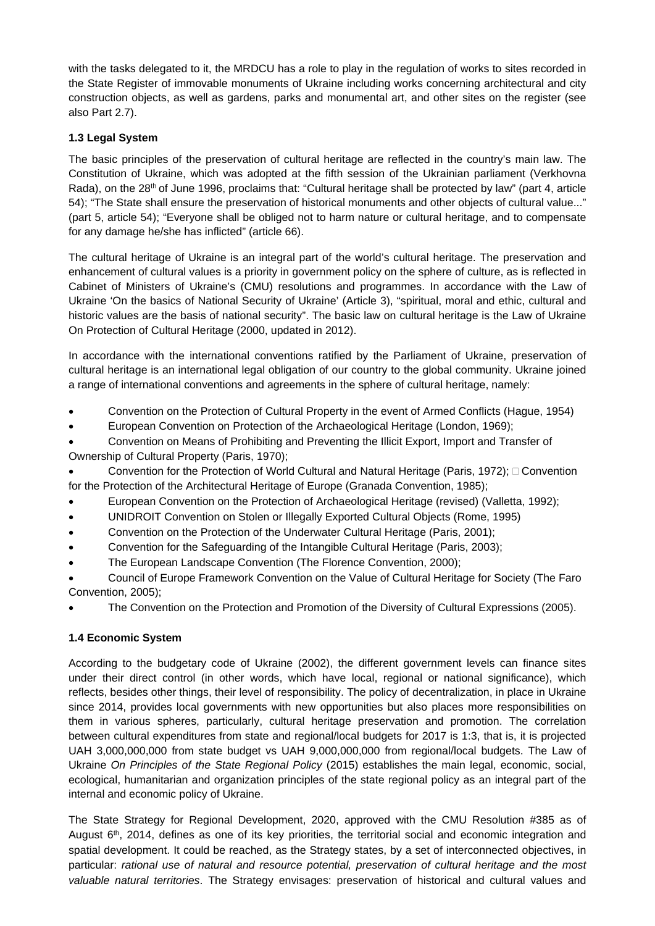with the tasks delegated to it, the MRDCU has a role to play in the regulation of works to sites recorded in the State Register of immovable monuments of Ukraine including works concerning architectural and city construction objects, as well as gardens, parks and monumental art, and other sites on the register (see also Part 2.7).

# **1.3 Legal System**

The basic principles of the preservation of cultural heritage are reflected in the country's main law. The Constitution of Ukraine, which was adopted at the fifth session of the Ukrainian parliament (Verkhovna Rada), on the 28<sup>th</sup> of June 1996, proclaims that: "Cultural heritage shall be protected by law" (part 4, article 54); "The State shall ensure the preservation of historical monuments and other objects of cultural value..." (part 5, article 54); "Everyone shall be obliged not to harm nature or cultural heritage, and to compensate for any damage he/she has inflicted" (article 66).

The cultural heritage of Ukraine is an integral part of the world's cultural heritage. The preservation and enhancement of cultural values is a priority in government policy on the sphere of culture, as is reflected in Cabinet of Ministers of Ukraine's (CMU) resolutions and programmes. In accordance with the Law of Ukraine 'On the basics of National Security of Ukraine' (Article 3), "spiritual, moral and ethic, cultural and historic values are the basis of national security". The basic law on cultural heritage is the Law of Ukraine On Protection of Cultural Heritage (2000, updated in 2012).

In accordance with the international conventions ratified by the Parliament of Ukraine, preservation of cultural heritage is an international legal obligation of our country to the global community. Ukraine joined a range of international conventions and agreements in the sphere of cultural heritage, namely:

- Convention on the Protection of Cultural Property in the event of Armed Conflicts (Hague, 1954)
- European Convention on Protection of the Archaeological Heritage (London, 1969);

 Convention on Means of Prohibiting and Preventing the Illicit Export, Import and Transfer of Ownership of Cultural Property (Paris, 1970);

 Convention for the Protection of World Cultural and Natural Heritage (Paris, 1972); Convention for the Protection of the Architectural Heritage of Europe (Granada Convention, 1985);

- European Convention on the Protection of Archaeological Heritage (revised) (Valletta, 1992);
- UNIDROIT Convention on Stolen or Illegally Exported Cultural Objects (Rome, 1995)
- Convention on the Protection of the Underwater Cultural Heritage (Paris, 2001);
- Convention for the Safeguarding of the Intangible Cultural Heritage (Paris, 2003);
- The European Landscape Convention (The Florence Convention, 2000);

 Council of Europe Framework Convention on the Value of Cultural Heritage for Society (The Faro Convention, 2005);

The Convention on the Protection and Promotion of the Diversity of Cultural Expressions (2005).

# **1.4 Economic System**

According to the budgetary code of Ukraine (2002), the different government levels can finance sites under their direct control (in other words, which have local, regional or national significance), which reflects, besides other things, their level of responsibility. The policy of decentralization, in place in Ukraine since 2014, provides local governments with new opportunities but also places more responsibilities on them in various spheres, particularly, cultural heritage preservation and promotion. The correlation between cultural expenditures from state and regional/local budgets for 2017 is 1:3, that is, it is projected UAH 3,000,000,000 from state budget vs UAH 9,000,000,000 from regional/local budgets. The Law of Ukraine *On Principles of the State Regional Policy* (2015) establishes the main legal, economic, social, ecological, humanitarian and organization principles of the state regional policy as an integral part of the internal and economic policy of Ukraine.

The State Strategy for Regional Development, 2020, approved with the CMU Resolution #385 as of August  $6<sup>th</sup>$ , 2014, defines as one of its key priorities, the territorial social and economic integration and spatial development. It could be reached, as the Strategy states, by a set of interconnected objectives, in particular: *rational use of natural and resource potential, preservation of cultural heritage and the most valuable natural territories*. The Strategy envisages: preservation of historical and cultural values and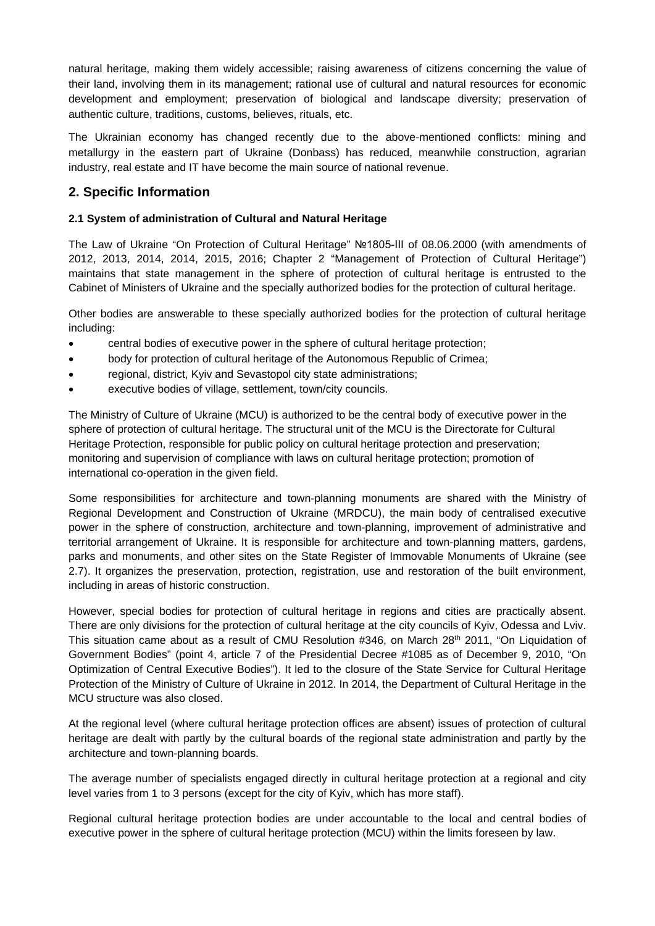natural heritage, making them widely accessible; raising awareness of citizens concerning the value of their land, involving them in its management; rational use of cultural and natural resources for economic development and employment; preservation of biological and landscape diversity; preservation of authentic culture, traditions, customs, believes, rituals, etc.

The Ukrainian economy has changed recently due to the above-mentioned conflicts: mining and metallurgy in the eastern part of Ukraine (Donbass) has reduced, meanwhile construction, agrarian industry, real estate and IT have become the main source of national revenue.

# **2. Specific Information**

### **2.1 System of administration of Cultural and Natural Heritage**

The Law of Ukraine "On Protection of Cultural Heritage" №1805-ІІІ of 08.06.2000 (with amendments of 2012, 2013, 2014, 2014, 2015, 2016; Chapter 2 "Management of Protection of Cultural Heritage") maintains that state management in the sphere of protection of cultural heritage is entrusted to the Cabinet of Ministers of Ukraine and the specially authorized bodies for the protection of cultural heritage.

Other bodies are answerable to these specially authorized bodies for the protection of cultural heritage including:

- central bodies of executive power in the sphere of cultural heritage protection;
- body for protection of cultural heritage of the Autonomous Republic of Crimea;
- regional, district, Kyiv and Sevastopol city state administrations;
- executive bodies of village, settlement, town/city councils.

The Ministry of Culture of Ukraine (MCU) is authorized to be the central body of executive power in the sphere of protection of cultural heritage. The structural unit of the MCU is the Directorate for Cultural Heritage Protection, responsible for public policy on cultural heritage protection and preservation; monitoring and supervision of compliance with laws on cultural heritage protection; promotion of international co-operation in the given field.

Some responsibilities for architecture and town-planning monuments are shared with the Ministry of Regional Development and Construction of Ukraine (MRDCU), the main body of centralised executive power in the sphere of construction, architecture and town-planning, improvement of administrative and territorial arrangement of Ukraine. It is responsible for architecture and town-planning matters, gardens, parks and monuments, and other sites on the State Register of Immovable Monuments of Ukraine (see 2.7). It organizes the preservation, protection, registration, use and restoration of the built environment, including in areas of historic construction.

However, special bodies for protection of cultural heritage in regions and cities are practically absent. There are only divisions for the protection of cultural heritage at the city councils of Kyiv, Odessa and Lviv. This situation came about as a result of CMU Resolution #346, on March 28<sup>th</sup> 2011, "On Liquidation of Government Bodies" (point 4, article 7 of the Presidential Decree #1085 as of December 9, 2010, "On Optimization of Central Executive Bodies"). It led to the closure of the State Service for Cultural Heritage Protection of the Ministry of Culture of Ukraine in 2012. In 2014, the Department of Cultural Heritage in the MCU structure was also closed.

At the regional level (where cultural heritage protection offices are absent) issues of protection of cultural heritage are dealt with partly by the cultural boards of the regional state administration and partly by the architecture and town-planning boards.

The average number of specialists engaged directly in cultural heritage protection at a regional and city level varies from 1 to 3 persons (except for the city of Kyiv, which has more staff).

Regional cultural heritage protection bodies are under accountable to the local and central bodies of executive power in the sphere of cultural heritage protection (MCU) within the limits foreseen by law.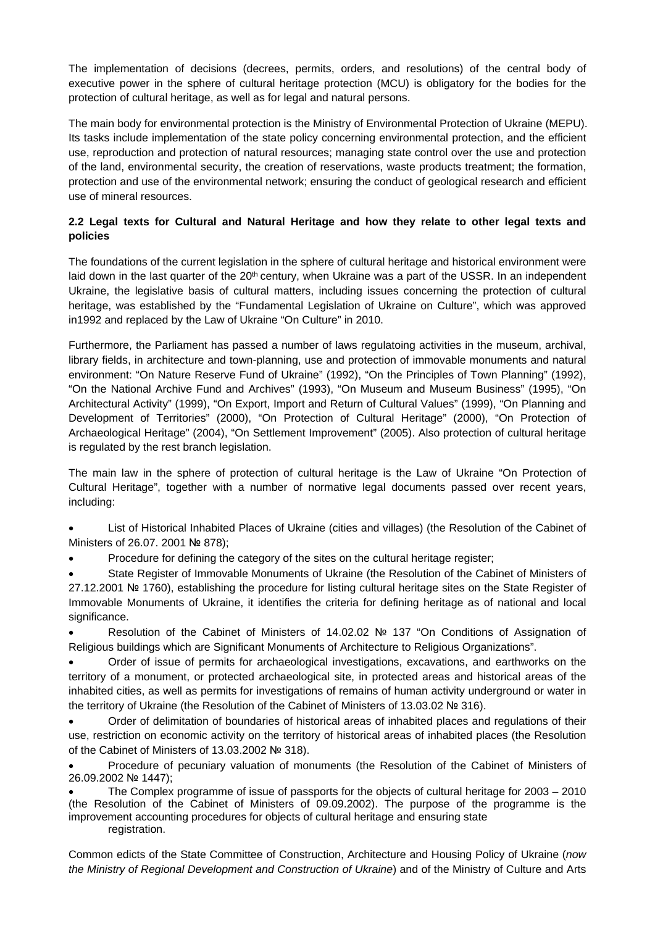The implementation of decisions (decrees, permits, orders, and resolutions) of the central body of executive power in the sphere of cultural heritage protection (MCU) is obligatory for the bodies for the protection of cultural heritage, as well as for legal and natural persons.

The main body for environmental protection is the Ministry of Environmental Protection of Ukraine (MEPU). Its tasks include implementation of the state policy concerning environmental protection, and the efficient use, reproduction and protection of natural resources; managing state control over the use and protection of the land, environmental security, the creation of reservations, waste products treatment; the formation, protection and use of the environmental network; ensuring the conduct of geological research and efficient use of mineral resources.

# **2.2 Legal texts for Cultural and Natural Heritage and how they relate to other legal texts and policies**

The foundations of the current legislation in the sphere of cultural heritage and historical environment were laid down in the last quarter of the 20<sup>th</sup> century, when Ukraine was a part of the USSR. In an independent Ukraine, the legislative basis of cultural matters, including issues concerning the protection of cultural heritage, was established by the "Fundamental Legislation of Ukraine on Culture", which was approved in1992 and replaced by the Law of Ukraine "On Culture" in 2010.

Furthermore, the Parliament has passed a number of laws regulatoing activities in the museum, archival, library fields, in architecture and town-planning, use and protection of immovable monuments and natural environment: "On Nature Reserve Fund of Ukraine" (1992), "On the Principles of Town Planning" (1992), "On the National Archive Fund and Archives" (1993), "On Museum and Museum Business" (1995), "On Architectural Activity" (1999), "On Export, Import and Return of Cultural Values" (1999), "On Planning and Development of Territories" (2000), "On Protection of Cultural Heritage" (2000), "On Protection of Archaeological Heritage" (2004), "On Settlement Improvement" (2005). Also protection of cultural heritage is regulated by the rest branch legislation.

The main law in the sphere of protection of cultural heritage is the Law of Ukraine "On Protection of Cultural Heritage", together with a number of normative legal documents passed over recent years, including:

 List of Historical Inhabited Places of Ukraine (cities and villages) (the Resolution of the Cabinet of Ministers of 26.07. 2001 № 878);

Procedure for defining the category of the sites on the cultural heritage register;

 State Register of Immovable Monuments of Ukraine (the Resolution of the Cabinet of Ministers of 27.12.2001 № 1760), establishing the procedure for listing cultural heritage sites on the State Register of Immovable Monuments of Ukraine, it identifies the criteria for defining heritage as of national and local significance.

 Resolution of the Cabinet of Ministers of 14.02.02 № 137 "On Conditions of Assignation of Religious buildings which are Significant Monuments of Architecture to Religious Organizations".

 Order of issue of permits for archaeological investigations, excavations, and earthworks on the territory of a monument, or protected archaeological site, in protected areas and historical areas of the inhabited cities, as well as permits for investigations of remains of human activity underground or water in the territory of Ukraine (the Resolution of the Cabinet of Ministers of 13.03.02 № 316).

 Order of delimitation of boundaries of historical areas of inhabited places and regulations of their use, restriction on economic activity on the territory of historical areas of inhabited places (the Resolution of the Cabinet of Ministers of 13.03.2002 № 318).

 Procedure of pecuniary valuation of monuments (the Resolution of the Cabinet of Ministers of 26.09.2002 № 1447);

 The Complex programme of issue of passports for the objects of cultural heritage for 2003 – 2010 (the Resolution of the Cabinet of Ministers of 09.09.2002). The purpose of the programme is the improvement accounting procedures for objects of cultural heritage and ensuring state registration.

Common edicts of the State Committee of Construction, Architecture and Housing Policy of Ukraine (*now the Ministry of Regional Development and Construction of Ukraine*) and of the Ministry of Culture and Arts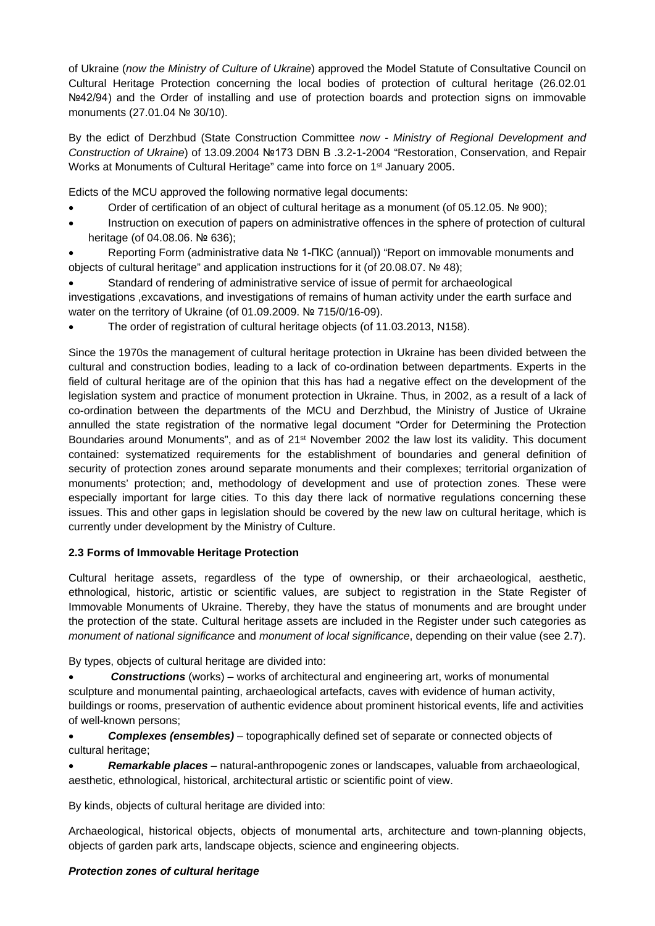of Ukraine (*now the Ministry of Culture of Ukraine*) approved the Model Statute of Consultative Council on Cultural Heritage Protection concerning the local bodies of protection of cultural heritage (26.02.01 Nº42/94) and the Order of installing and use of protection boards and protection signs on immovable monuments (27.01.04 № 30/10).

By the edict of Derzhbud (State Construction Committee *now - Ministry of Regional Development and Construction of Ukraine*) of 13.09.2004 №173 DBN В .3.2-1-2004 "Restoration, Conservation, and Repair Works at Monuments of Cultural Heritage" came into force on 1st January 2005.

Edicts of the MCU approved the following normative legal documents:

- Order of certification of an object of cultural heritage as a monument (of 05.12.05. № 900);
- Instruction on execution of papers on administrative offences in the sphere of protection of cultural heritage (of 04.08.06, № 636);
- Reporting Form (administrative data № 1-ПКС (annual)) "Report on immovable monuments and objects of cultural heritage" and application instructions for it (of 20.08.07. № 48);

 Standard of rendering of administrative service of issue of permit for archaeological investigations ,excavations, and investigations of remains of human activity under the earth surface and water on the territory of Ukraine (of 01.09.2009. № 715/0/16-09).

The order of registration of cultural heritage objects (of 11.03.2013, N158).

Since the 1970s the management of cultural heritage protection in Ukraine has been divided between the cultural and construction bodies, leading to a lack of co-ordination between departments. Experts in the field of cultural heritage are of the opinion that this has had a negative effect on the development of the legislation system and practice of monument protection in Ukraine. Thus, in 2002, as a result of a lack of co-ordination between the departments of the MCU and Derzhbud, the Ministry of Justice of Ukraine annulled the state registration of the normative legal document "Order for Determining the Protection Boundaries around Monuments", and as of 21<sup>st</sup> November 2002 the law lost its validity. This document contained: systematized requirements for the establishment of boundaries and general definition of security of protection zones around separate monuments and their complexes; territorial organization of monuments' protection; and, methodology of development and use of protection zones. These were especially important for large cities. To this day there lack of normative regulations concerning these issues. This and other gaps in legislation should be covered by the new law on cultural heritage, which is currently under development by the Ministry of Culture.

# **2.3 Forms of Immovable Heritage Protection**

Cultural heritage assets, regardless of the type of ownership, or their archaeological, aesthetic, ethnological, historic, artistic or scientific values, are subject to registration in the State Register of Immovable Monuments of Ukraine. Thereby, they have the status of monuments and are brought under the protection of the state. Cultural heritage assets are included in the Register under such categories as *monument of national significance* and *monument of local significance*, depending on their value (see 2.7).

By types, objects of cultural heritage are divided into:

 *Constructions* (works) – works of architectural and engineering art, works of monumental sculpture and monumental painting, archaeological artefacts, caves with evidence of human activity, buildings or rooms, preservation of authentic evidence about prominent historical events, life and activities of well-known persons;

 *Complexes (ensembles)* – topographically defined set of separate or connected objects of cultural heritage;

 *Remarkable places* – natural-anthropogenic zones or landscapes, valuable from archaeological, aesthetic, ethnological, historical, architectural artistic or scientific point of view.

By kinds, objects of cultural heritage are divided into:

Archaeological, historical objects, objects of monumental arts, architecture and town-planning objects, objects of garden park arts, landscape objects, science and engineering objects.

# *Protection zones of cultural heritage*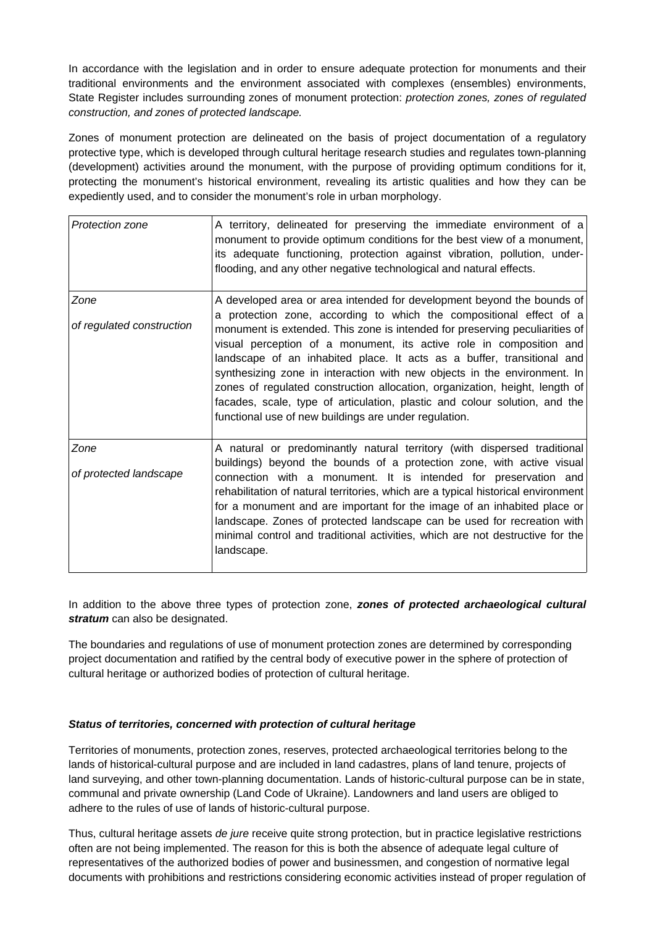In accordance with the legislation and in order to ensure adequate protection for monuments and their traditional environments and the environment associated with complexes (ensembles) environments, State Register includes surrounding zones of monument protection: *protection zones, zones of regulated construction, and zones of protected landscape.*

Zones of monument protection are delineated on the basis of project documentation of a regulatory protective type, which is developed through cultural heritage research studies and regulates town-planning (development) activities around the monument, with the purpose of providing optimum conditions for it, protecting the monument's historical environment, revealing its artistic qualities and how they can be expediently used, and to consider the monument's role in urban morphology.

| Protection zone                   | A territory, delineated for preserving the immediate environment of a<br>monument to provide optimum conditions for the best view of a monument,<br>its adequate functioning, protection against vibration, pollution, under-<br>flooding, and any other negative technological and natural effects.                                                                                                                                                                                                                                                                                                                                                                            |
|-----------------------------------|---------------------------------------------------------------------------------------------------------------------------------------------------------------------------------------------------------------------------------------------------------------------------------------------------------------------------------------------------------------------------------------------------------------------------------------------------------------------------------------------------------------------------------------------------------------------------------------------------------------------------------------------------------------------------------|
| Zone<br>of regulated construction | A developed area or area intended for development beyond the bounds of<br>a protection zone, according to which the compositional effect of a<br>monument is extended. This zone is intended for preserving peculiarities of<br>visual perception of a monument, its active role in composition and<br>landscape of an inhabited place. It acts as a buffer, transitional and<br>synthesizing zone in interaction with new objects in the environment. In<br>zones of regulated construction allocation, organization, height, length of<br>facades, scale, type of articulation, plastic and colour solution, and the<br>functional use of new buildings are under regulation. |
| Zone<br>of protected landscape    | A natural or predominantly natural territory (with dispersed traditional<br>buildings) beyond the bounds of a protection zone, with active visual<br>connection with a monument. It is intended for preservation and<br>rehabilitation of natural territories, which are a typical historical environment<br>for a monument and are important for the image of an inhabited place or<br>landscape. Zones of protected landscape can be used for recreation with<br>minimal control and traditional activities, which are not destructive for the<br>landscape.                                                                                                                  |

In addition to the above three types of protection zone, *zones of protected archaeological cultural stratum* can also be designated.

The boundaries and regulations of use of monument protection zones are determined by corresponding project documentation and ratified by the central body of executive power in the sphere of protection of cultural heritage or authorized bodies of protection of cultural heritage.

#### *Status of territories, concerned with protection of cultural heritage*

Territories of monuments, protection zones, reserves, protected archaeological territories belong to the lands of historical-cultural purpose and are included in land cadastres, plans of land tenure, projects of land surveying, and other town-planning documentation. Lands of historic-cultural purpose can be in state, communal and private ownership (Land Code of Ukraine). Landowners and land users are obliged to adhere to the rules of use of lands of historic-cultural purpose.

Thus, cultural heritage assets *de jure* receive quite strong protection, but in practice legislative restrictions often are not being implemented. The reason for this is both the absence of adequate legal culture of representatives of the authorized bodies of power and businessmen, and congestion of normative legal documents with prohibitions and restrictions considering economic activities instead of proper regulation of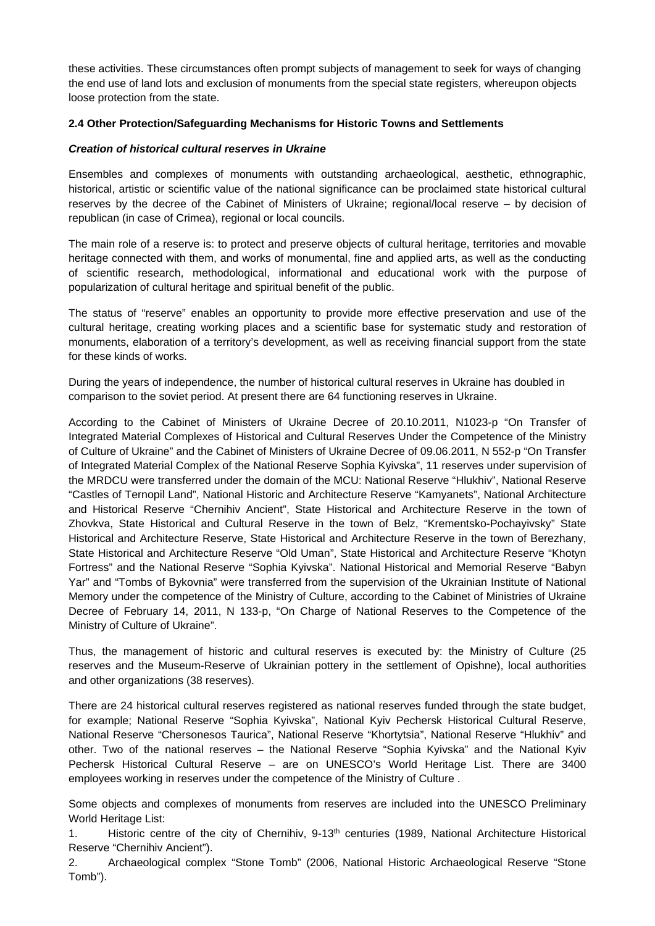these activities. These circumstances often prompt subjects of management to seek for ways of changing the end use of land lots and exclusion of monuments from the special state registers, whereupon objects loose protection from the state.

#### **2.4 Other Protection/Safeguarding Mechanisms for Historic Towns and Settlements**

#### *Creation of historical cultural reserves in Ukraine*

Ensembles and complexes of monuments with outstanding archaeological, aesthetic, ethnographic, historical, artistic or scientific value of the national significance can be proclaimed state historical cultural reserves by the decree of the Cabinet of Ministers of Ukraine; regional/local reserve – by decision of republican (in case of Crimea), regional or local councils.

The main role of a reserve is: to protect and preserve objects of cultural heritage, territories and movable heritage connected with them, and works of monumental, fine and applied arts, as well as the conducting of scientific research, methodological, informational and educational work with the purpose of popularization of cultural heritage and spiritual benefit of the public.

The status of "reserve" enables an opportunity to provide more effective preservation and use of the cultural heritage, creating working places and a scientific base for systematic study and restoration of monuments, elaboration of a territory's development, as well as receiving financial support from the state for these kinds of works.

During the years of independence, the number of historical cultural reserves in Ukraine has doubled in comparison to the soviet period. At present there are 64 functioning reserves in Ukraine.

According to the Cabinet of Ministers of Ukraine Decree of 20.10.2011, N1023-p "On Transfer of Integrated Material Complexes of Historical and Cultural Reserves Under the Competence of the Ministry of Culture of Ukraine" and the Cabinet of Ministers of Ukraine Decree of 09.06.2011, N 552-p "On Transfer of Integrated Material Complex of the National Reserve Sophia Kyivska", 11 reserves under supervision of the MRDCU were transferred under the domain of the MCU: National Reserve "Hlukhiv", National Reserve "Castles of Ternopil Land", National Historic and Architecture Reserve "Kamyanets", National Architecture and Historical Reserve "Chernihiv Ancient", State Historical and Architecture Reserve in the town of Zhovkva, State Historical and Cultural Reserve in the town of Belz, "Krementsko-Pochayivsky" State Historical and Architecture Reserve, State Historical and Architecture Reserve in the town of Berezhany, State Historical and Architecture Reserve "Old Uman", State Historical and Architecture Reserve "Khotyn Fortress" and the National Reserve "Sophia Kyivska". National Historical and Memorial Reserve "Babyn Yar" and "Tombs of Bykovnia" were transferred from the supervision of the Ukrainian Institute of National Memory under the competence of the Ministry of Culture, according to the Cabinet of Ministries of Ukraine Decree of February 14, 2011, N 133-p, "On Charge of National Reserves to the Competence of the Ministry of Culture of Ukraine".

Thus, the management of historic and cultural reserves is executed by: the Ministry of Culture (25 reserves and the Museum-Reserve of Ukrainian pottery in the settlement of Opishne), local authorities and other organizations (38 reserves).

There are 24 historical cultural reserves registered as national reserves funded through the state budget, for example; National Reserve "Sophia Kyivska", National Kyiv Pechersk Historical Cultural Reserve, National Reserve "Chersonesos Taurica", National Reserve "Khortytsia", National Reserve "Hlukhiv" and other. Two of the national reserves – the National Reserve "Sophia Kyivska" and the National Kyiv Pechersk Historical Cultural Reserve – are on UNESCO's World Heritage List. There are 3400 employees working in reserves under the competence of the Ministry of Culture .

Some objects and complexes of monuments from reserves are included into the UNESCO Preliminary World Heritage List:

1. Historic centre of the city of Chernihiv, 9-13th centuries (1989, National Architecture Historical Reserve "Chernihiv Ancient").

2. Archaeological complex "Stone Tomb" (2006, National Historic Archaeological Reserve "Stone Tomb").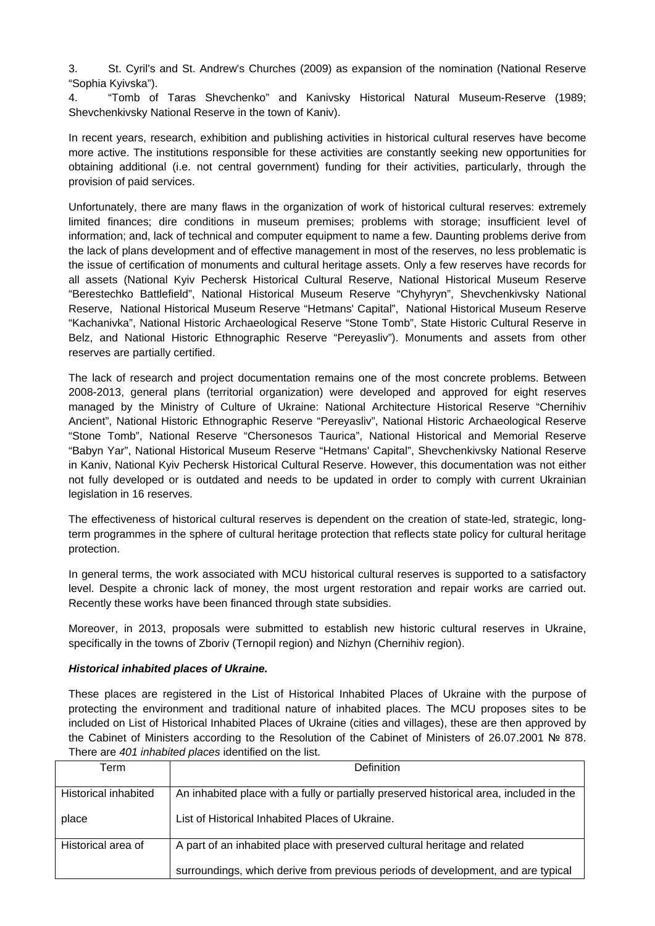3. St. Cyril's and St. Andrew's Churches (2009) as expansion of the nomination (National Reserve "Sophia Kyivska").

4. "Tomb of Taras Shevchenko" and Kanivsky Historical Natural Museum-Reserve (1989; Shevchenkivsky National Reserve in the town of Kaniv).

In recent years, research, exhibition and publishing activities in historical cultural reserves have become more active. The institutions responsible for these activities are constantly seeking new opportunities for obtaining additional (i.e. not central government) funding for their activities, particularly, through the provision of paid services.

Unfortunately, there are many flaws in the organization of work of historical cultural reserves: extremely limited finances; dire conditions in museum premises; problems with storage; insufficient level of information; and, lack of technical and computer equipment to name a few. Daunting problems derive from the lack of plans development and of effective management in most of the reserves, no less problematic is the issue of certification of monuments and cultural heritage assets. Only a few reserves have records for all assets (National Kyiv Pechersk Historical Cultural Reserve, National Historical Museum Reserve "Berestechko Battlefield", National Historical Museum Reserve "Chyhyryn", Shevchenkivsky National Reserve, National Historical Museum Reserve "Hetmans' Capital", National Historical Museum Reserve "Kachanivka", National Historic Archaeological Reserve "Stone Tomb", State Historic Cultural Reserve in Belz, and National Historic Ethnographic Reserve "Pereyasliv"). Monuments and assets from other reserves are partially certified.

The lack of research and project documentation remains one of the most concrete problems. Between 2008-2013, general plans (territorial organization) were developed and approved for eight reserves managed by the Ministry of Culture of Ukraine: National Architecture Historical Reserve "Chernihiv Ancient", National Historic Ethnographic Reserve "Pereyasliv", National Historic Archaeological Reserve "Stone Tomb", National Reserve "Chersonesos Taurica", National Historical and Memorial Reserve "Babyn Yar", National Historical Museum Reserve "Hetmans' Capital", Shevchenkivsky National Reserve in Kaniv, National Kyiv Pechersk Historical Cultural Reserve. However, this documentation was not either not fully developed or is outdated and needs to be updated in order to comply with current Ukrainian legislation in 16 reserves.

The effectiveness of historical cultural reserves is dependent on the creation of state-led, strategic, longterm programmes in the sphere of cultural heritage protection that reflects state policy for cultural heritage protection.

In general terms, the work associated with MCU historical cultural reserves is supported to a satisfactory level. Despite a chronic lack of money, the most urgent restoration and repair works are carried out. Recently these works have been financed through state subsidies.

Moreover, in 2013, proposals were submitted to establish new historic cultural reserves in Ukraine, specifically in the towns of Zboriv (Ternopil region) and Nizhyn (Chernihiv region).

#### *Historical inhabited places of Ukraine.*

These places are registered in the List of Historical Inhabited Places of Ukraine with the purpose of protecting the environment and traditional nature of inhabited places. The MCU proposes sites to be included on List of Historical Inhabited Places of Ukraine (cities and villages), these are then approved by the Cabinet of Ministers according to the Resolution of the Cabinet of Ministers of 26.07.2001 № 878. There are *401 inhabited places* identified on the list.

| Term                 | Definition                                                                              |  |  |
|----------------------|-----------------------------------------------------------------------------------------|--|--|
| Historical inhabited | An inhabited place with a fully or partially preserved historical area, included in the |  |  |
| place                | List of Historical Inhabited Places of Ukraine.                                         |  |  |
| Historical area of   | A part of an inhabited place with preserved cultural heritage and related               |  |  |
|                      | surroundings, which derive from previous periods of development, and are typical        |  |  |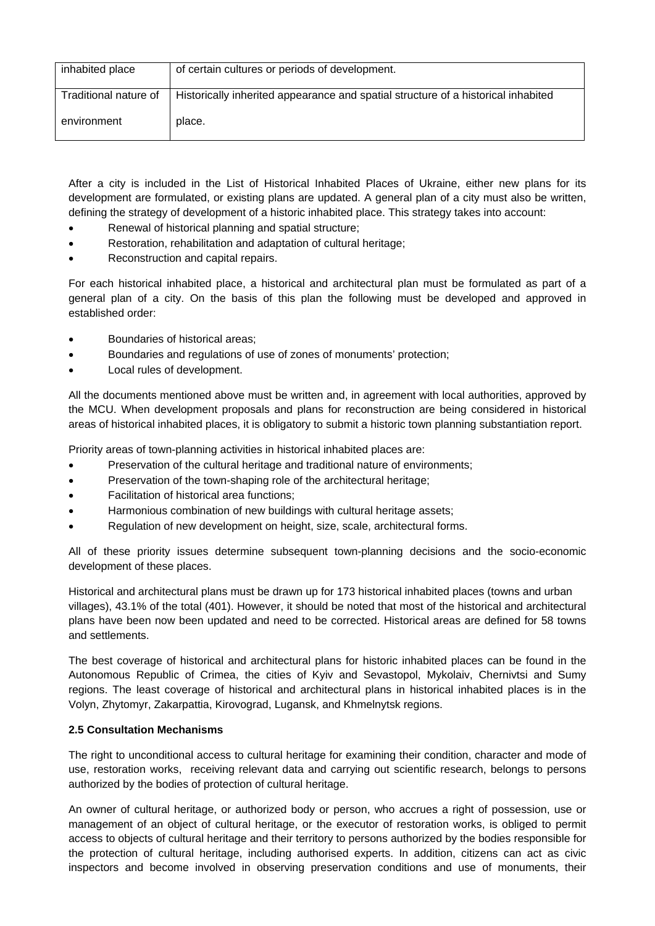| inhabited place       | of certain cultures or periods of development.                                    |
|-----------------------|-----------------------------------------------------------------------------------|
| Traditional nature of | Historically inherited appearance and spatial structure of a historical inhabited |
| environment           | place.                                                                            |

After a city is included in the List of Historical Inhabited Places of Ukraine, either new plans for its development are formulated, or existing plans are updated. A general plan of a city must also be written, defining the strategy of development of a historic inhabited place. This strategy takes into account:

- Renewal of historical planning and spatial structure;
- Restoration, rehabilitation and adaptation of cultural heritage;
- Reconstruction and capital repairs.

For each historical inhabited place, a historical and architectural plan must be formulated as part of a general plan of a city. On the basis of this plan the following must be developed and approved in established order:

- Boundaries of historical areas;
- Boundaries and regulations of use of zones of monuments' protection;
- Local rules of development.

All the documents mentioned above must be written and, in agreement with local authorities, approved by the MCU. When development proposals and plans for reconstruction are being considered in historical areas of historical inhabited places, it is obligatory to submit a historic town planning substantiation report.

Priority areas of town-planning activities in historical inhabited places are:

- Preservation of the cultural heritage and traditional nature of environments;
- Preservation of the town-shaping role of the architectural heritage;
- Facilitation of historical area functions;
- Harmonious combination of new buildings with cultural heritage assets;
- Regulation of new development on height, size, scale, architectural forms.

All of these priority issues determine subsequent town-planning decisions and the socio-economic development of these places.

Historical and architectural plans must be drawn up for 173 historical inhabited places (towns and urban villages), 43.1% of the total (401). However, it should be noted that most of the historical and architectural plans have been now been updated and need to be corrected. Historical areas are defined for 58 towns and settlements.

The best coverage of historical and architectural plans for historic inhabited places can be found in the Autonomous Republic of Crimea, the cities of Kyiv and Sevastopol, Mykolaiv, Chernivtsi and Sumy regions. The least coverage of historical and architectural plans in historical inhabited places is in the Volyn, Zhytomyr, Zakarpattia, Kirovograd, Lugansk, and Khmelnytsk regions.

#### **2.5 Consultation Mechanisms**

The right to unconditional access to cultural heritage for examining their condition, character and mode of use, restoration works, receiving relevant data and carrying out scientific research, belongs to persons authorized by the bodies of protection of cultural heritage.

An owner of cultural heritage, or authorized body or person, who accrues a right of possession, use or management of an object of cultural heritage, or the executor of restoration works, is obliged to permit access to objects of cultural heritage and their territory to persons authorized by the bodies responsible for the protection of cultural heritage, including authorised experts. In addition, citizens can act as civic inspectors and become involved in observing preservation conditions and use of monuments, their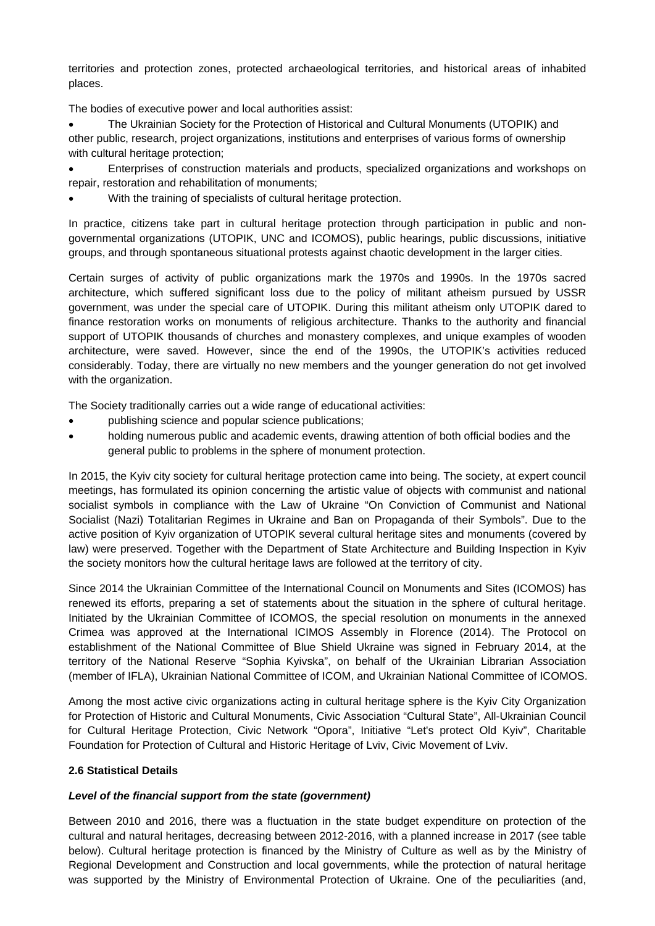territories and protection zones, protected archaeological territories, and historical areas of inhabited places.

The bodies of executive power and local authorities assist:

 The Ukrainian Society for the Protection of Historical and Cultural Monuments (UTOPIK) and other public, research, project organizations, institutions and enterprises of various forms of ownership with cultural heritage protection;

 Enterprises of construction materials and products, specialized organizations and workshops on repair, restoration and rehabilitation of monuments;

With the training of specialists of cultural heritage protection.

In practice, citizens take part in cultural heritage protection through participation in public and nongovernmental organizations (UTOPIK, UNC and ICOMOS), public hearings, public discussions, initiative groups, and through spontaneous situational protests against chaotic development in the larger cities.

Certain surges of activity of public organizations mark the 1970s and 1990s. In the 1970s sacred architecture, which suffered significant loss due to the policy of militant atheism pursued by USSR government, was under the special care of UTOPIK. During this militant atheism only UTOPIK dared to finance restoration works on monuments of religious architecture. Thanks to the authority and financial support of UTOPIK thousands of churches and monastery complexes, and unique examples of wooden architecture, were saved. However, since the end of the 1990s, the UTOPIK's activities reduced considerably. Today, there are virtually no new members and the younger generation do not get involved with the organization.

The Society traditionally carries out a wide range of educational activities:

- publishing science and popular science publications;
- holding numerous public and academic events, drawing attention of both official bodies and the general public to problems in the sphere of monument protection.

In 2015, the Kyiv city society for cultural heritage protection came into being. The society, at expert council meetings, has formulated its opinion concerning the artistic value of objects with communist and national socialist symbols in compliance with the Law of Ukraine "On Conviction of Communist and National Socialist (Nazi) Totalitarian Regimes in Ukraine and Ban on Propaganda of their Symbols". Due to the active position of Kyiv organization of UTOPIK several cultural heritage sites and monuments (covered by law) were preserved. Together with the Department of State Architecture and Building Inspection in Kyiv the society monitors how the cultural heritage laws are followed at the territory of city.

Since 2014 the Ukrainian Committee of the International Council on Monuments and Sites (ICOMOS) has renewed its efforts, preparing a set of statements about the situation in the sphere of cultural heritage. Initiated by the Ukrainian Committee of ICOMOS, the special resolution on monuments in the annexed Crimea was approved at the International ICIMOS Assembly in Florence (2014). The Protocol on establishment of the National Committee of Blue Shield Ukraine was signed in February 2014, at the territory of the National Reserve "Sophia Kyivska", on behalf of the Ukrainian Librarian Association (member of IFLA), Ukrainian National Committee of ICOM, and Ukrainian National Committee of ICOMOS.

Among the most active civic organizations acting in cultural heritage sphere is the Kyiv City Organization for Protection of Historic and Cultural Monuments, Civic Association "Cultural State", All-Ukrainian Council for Cultural Heritage Protection, Civic Network "Opora", Initiative "Let's protect Old Kyiv", Charitable Foundation for Protection of Cultural and Historic Heritage of Lviv, Civic Movement of Lviv.

#### **2.6 Statistical Details**

#### *Level of the financial support from the state (government)*

Between 2010 and 2016, there was a fluctuation in the state budget expenditure on protection of the cultural and natural heritages, decreasing between 2012-2016, with a planned increase in 2017 (see table below). Cultural heritage protection is financed by the Ministry of Culture as well as by the Ministry of Regional Development and Construction and local governments, while the protection of natural heritage was supported by the Ministry of Environmental Protection of Ukraine. One of the peculiarities (and,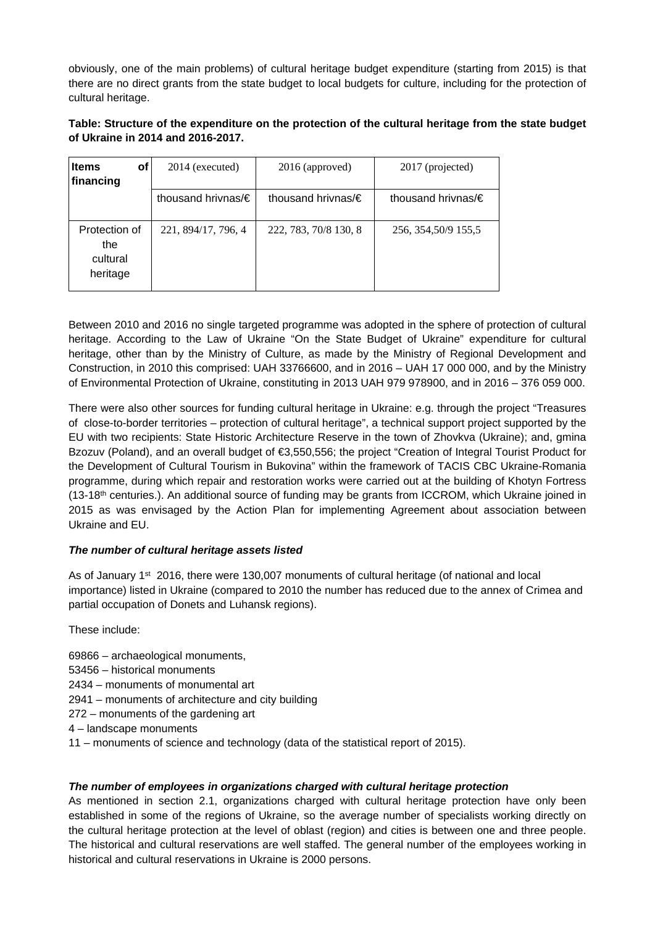obviously, one of the main problems) of cultural heritage budget expenditure (starting from 2015) is that there are no direct grants from the state budget to local budgets for culture, including for the protection of cultural heritage.

# **Table: Structure of the expenditure on the protection of the cultural heritage from the state budget of Ukraine in 2014 and 2016-2017.**

| <b>Items</b><br>οf<br>financing              | 2014 (executed)            | 2016 (approved)            | 2017 (projected)           |
|----------------------------------------------|----------------------------|----------------------------|----------------------------|
|                                              | thousand hrivnas/ $\notin$ | thousand hrivnas/ $\notin$ | thousand hrivnas/ $\notin$ |
| Protection of<br>the<br>cultural<br>heritage | 221, 894/17, 796, 4        | 222, 783, 70/8 130, 8      | 256, 354, 50/9 155, 5      |

Between 2010 and 2016 no single targeted programme was adopted in the sphere of protection of cultural heritage. According to the Law of Ukraine "On the State Budget of Ukraine" expenditure for cultural heritage, other than by the Ministry of Culture, as made by the Ministry of Regional Development and Construction, in 2010 this comprised: UAH 33766600, and in 2016 – UAH 17 000 000, and by the Ministry of Environmental Protection of Ukraine, constituting in 2013 UAH 979 978900, and in 2016 – 376 059 000.

There were also other sources for funding cultural heritage in Ukraine: e.g. through the project "Treasures of close-to-border territories – protection of cultural heritage", a technical support project supported by the EU with two recipients: State Historic Architecture Reserve in the town of Zhovkva (Ukraine); and, gmina Bzozuv (Poland), and an overall budget of €3,550,556; the project "Creation of Integral Tourist Product for the Development of Cultural Tourism in Bukovina" within the framework of TACIS CBC Ukraine-Romania programme, during which repair and restoration works were carried out at the building of Khotyn Fortress  $(13-18<sup>th</sup>$  centuries.). An additional source of funding may be grants from ICCROM, which Ukraine joined in 2015 as was envisaged by the Action Plan for implementing Agreement about association between Ukraine and EU.

# *The number of cultural heritage assets listed*

As of January 1<sup>st</sup> 2016, there were 130,007 monuments of cultural heritage (of national and local importance) listed in Ukraine (compared to 2010 the number has reduced due to the annex of Crimea and partial occupation of Donets and Luhansk regions).

These include:

- 69866 archaeological monuments,
- 53456 historical monuments
- 2434 monuments of monumental art
- 2941 monuments of architecture and city building
- 272 monuments of the gardening art
- 4 landscape monuments
- 11 monuments of science and technology (data of the statistical report of 2015).

# *The number of employees in organizations charged with cultural heritage protection*

As mentioned in section 2.1, organizations charged with cultural heritage protection have only been established in some of the regions of Ukraine, so the average number of specialists working directly on the cultural heritage protection at the level of oblast (region) and cities is between one and three people. The historical and cultural reservations are well staffed. The general number of the employees working in historical and cultural reservations in Ukraine is 2000 persons.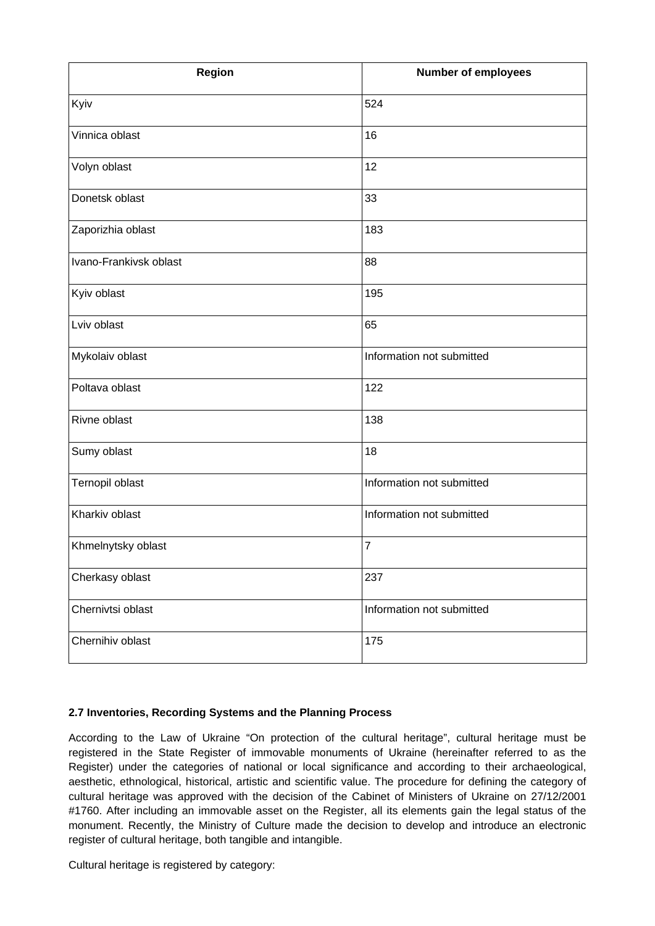| Region                 | <b>Number of employees</b> |
|------------------------|----------------------------|
| Kyiv                   | 524                        |
| Vinnica oblast         | 16                         |
| Volyn oblast           | 12                         |
| Donetsk oblast         | 33                         |
| Zaporizhia oblast      | 183                        |
| Ivano-Frankivsk oblast | 88                         |
| Kyiv oblast            | 195                        |
| Lviv oblast            | 65                         |
| Mykolaiv oblast        | Information not submitted  |
| Poltava oblast         | 122                        |
| Rivne oblast           | 138                        |
| Sumy oblast            | 18                         |
| Ternopil oblast        | Information not submitted  |
| Kharkiv oblast         | Information not submitted  |
| Khmelnytsky oblast     | 7                          |
| Cherkasy oblast        | 237                        |
| Chernivtsi oblast      | Information not submitted  |
| Chernihiv oblast       | 175                        |

#### **2.7 Inventories, Recording Systems and the Planning Process**

According to the Law of Ukraine "On protection of the cultural heritage", cultural heritage must be registered in the State Register of immovable monuments of Ukraine (hereinafter referred to as the Register) under the categories of national or local significance and according to their archaeological, aesthetic, ethnological, historical, artistic and scientific value. The procedure for defining the category of cultural heritage was approved with the decision of the Cabinet of Ministers of Ukraine on 27/12/2001 #1760. After including an immovable asset on the Register, all its elements gain the legal status of the monument. Recently, the Ministry of Culture made the decision to develop and introduce an electronic register of cultural heritage, both tangible and intangible.

Cultural heritage is registered by category: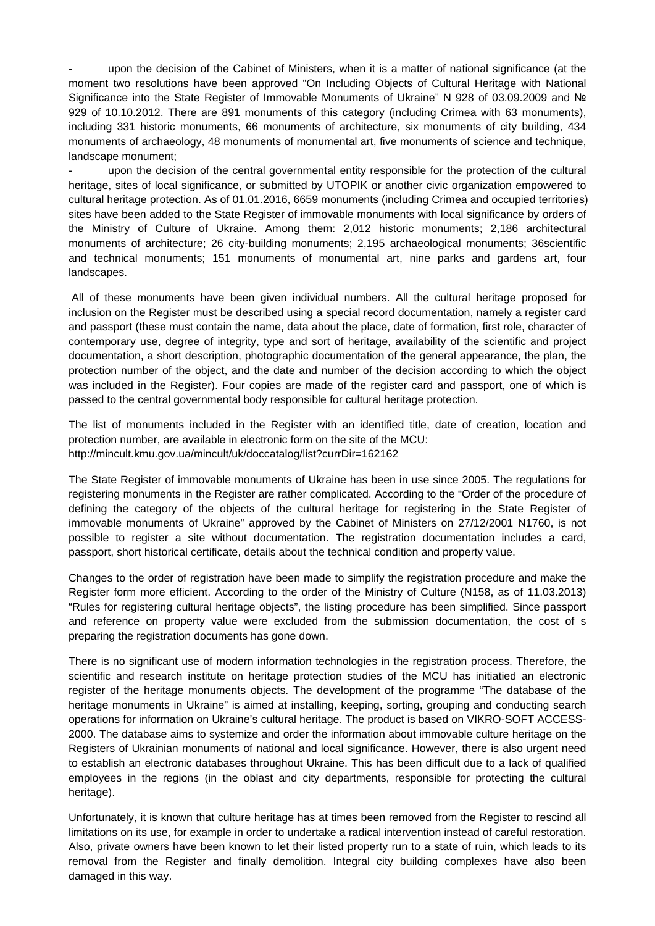upon the decision of the Cabinet of Ministers, when it is a matter of national significance (at the moment two resolutions have been approved "On Including Objects of Cultural Heritage with National Significance into the State Register of Immovable Monuments of Ukraine" N 928 of 03.09.2009 and № 929 of 10.10.2012. There are 891 monuments of this category (including Crimea with 63 monuments), including 331 historic monuments, 66 monuments of architecture, six monuments of city building, 434 monuments of archaeology, 48 monuments of monumental art, five monuments of science and technique, landscape monument;

upon the decision of the central governmental entity responsible for the protection of the cultural heritage, sites of local significance, or submitted by UTOPIK or another civic organization empowered to cultural heritage protection. As of 01.01.2016, 6659 monuments (including Crimea and occupied territories) sites have been added to the State Register of immovable monuments with local significance by orders of the Ministry of Culture of Ukraine. Among them: 2,012 historic monuments; 2,186 architectural monuments of architecture; 26 city-building monuments; 2,195 archaeological monuments; 36scientific and technical monuments; 151 monuments of monumental art, nine parks and gardens art, four landscapes.

 All of these monuments have been given individual numbers. All the cultural heritage proposed for inclusion on the Register must be described using a special record documentation, namely a register card and passport (these must contain the name, data about the place, date of formation, first role, character of contemporary use, degree of integrity, type and sort of heritage, availability of the scientific and project documentation, a short description, photographic documentation of the general appearance, the plan, the protection number of the object, and the date and number of the decision according to which the object was included in the Register). Four copies are made of the register card and passport, one of which is passed to the central governmental body responsible for cultural heritage protection.

The list of monuments included in the Register with an identified title, date of creation, location and protection number, are available in electronic form on the site of the MCU: <http://mincult.kmu.gov.ua/mincult/uk/doccatalog/list?currDir=162162>

The State Register of immovable monuments of Ukraine has been in use since 2005. The regulations for registering monuments in the Register are rather complicated. According to the "Order of the procedure of defining the category of the objects of the cultural heritage for registering in the State Register of immovable monuments of Ukraine" approved by the Cabinet of Ministers on 27/12/2001 N1760, is not possible to register a site without documentation. The registration documentation includes a card, passport, short historical certificate, details about the technical condition and property value.

Changes to the order of registration have been made to simplify the registration procedure and make the Register form more efficient. According to the order of the Ministry of Culture (N158, as of 11.03.2013) "Rules for registering cultural heritage objects", the listing procedure has been simplified. Since passport and reference on property value were excluded from the submission documentation, the cost of s preparing the registration documents has gone down.

There is no significant use of modern information technologies in the registration process. Therefore, the scientific and research institute on heritage protection studies of the MCU has initiatied an electronic register of the heritage monuments objects. The development of the programme "The database of the heritage monuments in Ukraine" is aimed at installing, keeping, sorting, grouping and conducting search operations for information on Ukraine's cultural heritage. The product is based on VIKRO-SOFT ACCESS-2000. The database aims to systemize and order the information about immovable culture heritage on the Registers of Ukrainian monuments of national and local significance. However, there is also urgent need to establish an electronic databases throughout Ukraine. This has been difficult due to a lack of qualified employees in the regions (in the oblast and city departments, responsible for protecting the cultural heritage).

Unfortunately, it is known that culture heritage has at times been removed from the Register to rescind all limitations on its use, for example in order to undertake a radical intervention instead of careful restoration. Also, private owners have been known to let their listed property run to a state of ruin, which leads to its removal from the Register and finally demolition. Integral city building complexes have also been damaged in this way.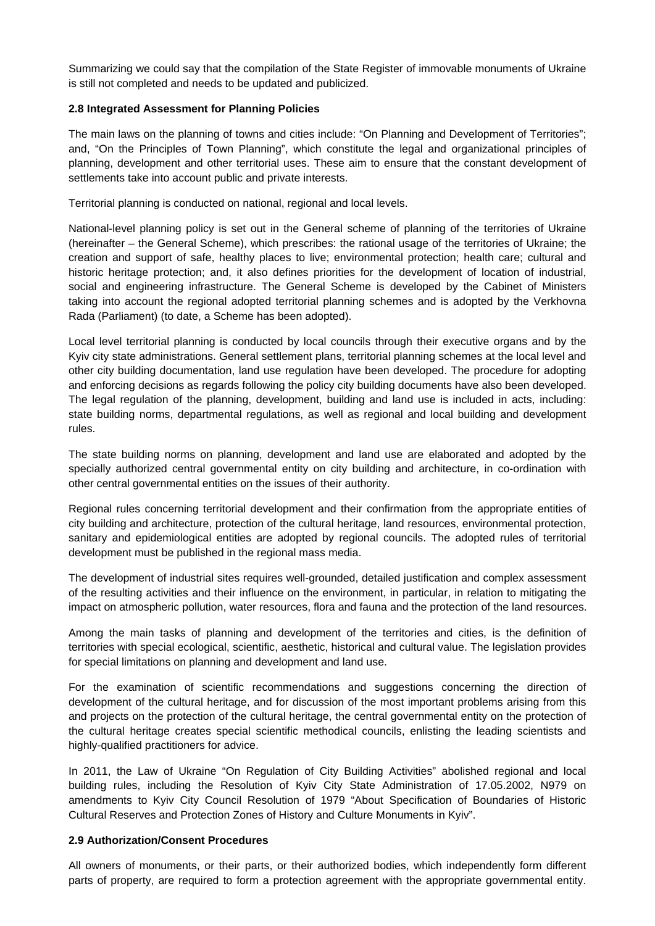Summarizing we could say that the compilation of the State Register of immovable monuments of Ukraine is still not completed and needs to be updated and publicized.

#### **2.8 Integrated Assessment for Planning Policies**

The main laws on the planning of towns and cities include: "On Planning and Development of Territories"; and, "On the Principles of Town Planning", which constitute the legal and organizational principles of planning, development and other territorial uses. These aim to ensure that the constant development of settlements take into account public and private interests.

Territorial planning is conducted on national, regional and local levels.

National-level planning policy is set out in the General scheme of planning of the territories of Ukraine (hereinafter – the General Scheme), which prescribes: the rational usage of the territories of Ukraine; the creation and support of safe, healthy places to live; environmental protection; health care; cultural and historic heritage protection; and, it also defines priorities for the development of location of industrial, social and engineering infrastructure. The General Scheme is developed by the Cabinet of Ministers taking into account the regional adopted territorial planning schemes and is adopted by the Verkhovna Rada (Parliament) (to date, a Scheme has been adopted).

Local level territorial planning is conducted by local councils through their executive organs and by the Kyiv city state administrations. General settlement plans, territorial planning schemes at the local level and other city building documentation, land use regulation have been developed. The procedure for adopting and enforcing decisions as regards following the policy city building documents have also been developed. The legal regulation of the planning, development, building and land use is included in acts, including: state building norms, departmental regulations, as well as regional and local building and development rules.

The state building norms on planning, development and land use are elaborated and adopted by the specially authorized central governmental entity on city building and architecture, in co-ordination with other central governmental entities on the issues of their authority.

Regional rules concerning territorial development and their confirmation from the appropriate entities of city building and architecture, protection of the cultural heritage, land resources, environmental protection, sanitary and epidemiological entities are adopted by regional councils. The adopted rules of territorial development must be published in the regional mass media.

The development of industrial sites requires well-grounded, detailed justification and complex assessment of the resulting activities and their influence on the environment, in particular, in relation to mitigating the impact on atmospheric pollution, water resources, flora and fauna and the protection of the land resources.

Among the main tasks of planning and development of the territories and cities, is the definition of territories with special ecological, scientific, aesthetic, historical and cultural value. The legislation provides for special limitations on planning and development and land use.

For the examination of scientific recommendations and suggestions concerning the direction of development of the cultural heritage, and for discussion of the most important problems arising from this and projects on the protection of the cultural heritage, the central governmental entity on the protection of the cultural heritage creates special scientific methodical councils, enlisting the leading scientists and highly-qualified practitioners for advice.

In 2011, the Law of Ukraine "On Regulation of City Building Activities" abolished regional and local building rules, including the Resolution of Kyiv City State Administration of 17.05.2002, N979 on amendments to Kyiv City Council Resolution of 1979 "About Specification of Boundaries of Historic Cultural Reserves and Protection Zones of History and Culture Monuments in Kyiv".

#### **2.9 Authorization/Consent Procedures**

All owners of monuments, or their parts, or their authorized bodies, which independently form different parts of property, are required to form a protection agreement with the appropriate governmental entity.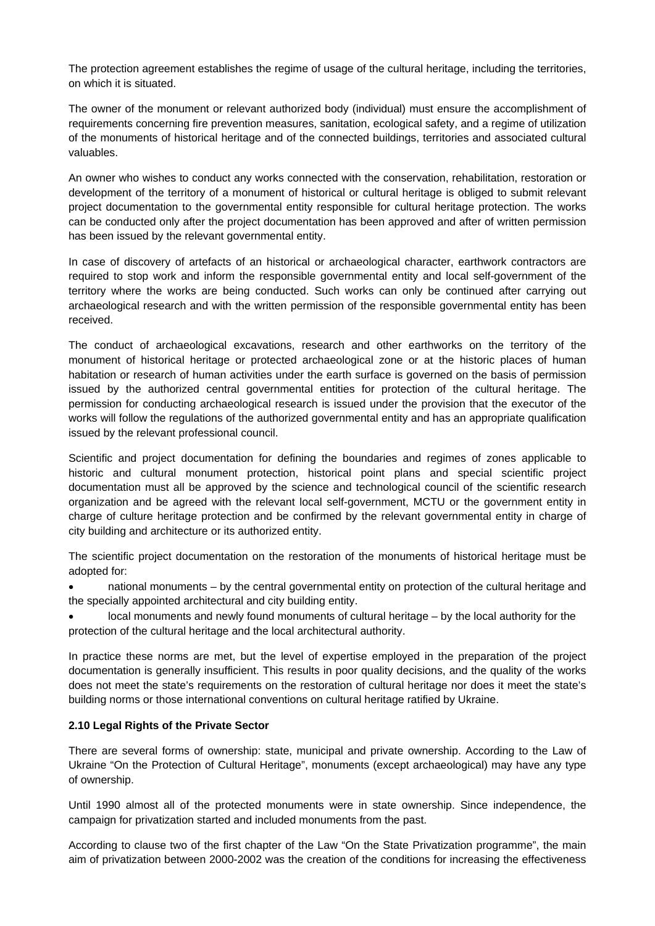The protection agreement establishes the regime of usage of the cultural heritage, including the territories, on which it is situated.

The owner of the monument or relevant authorized body (individual) must ensure the accomplishment of requirements concerning fire prevention measures, sanitation, ecological safety, and a regime of utilization of the monuments of historical heritage and of the connected buildings, territories and associated cultural valuables.

An owner who wishes to conduct any works connected with the conservation, rehabilitation, restoration or development of the territory of a monument of historical or cultural heritage is obliged to submit relevant project documentation to the governmental entity responsible for cultural heritage protection. The works can be conducted only after the project documentation has been approved and after of written permission has been issued by the relevant governmental entity.

In case of discovery of artefacts of an historical or archaeological character, earthwork contractors are required to stop work and inform the responsible governmental entity and local self-government of the territory where the works are being conducted. Such works can only be continued after carrying out archaeological research and with the written permission of the responsible governmental entity has been received.

The conduct of archaeological excavations, research and other earthworks on the territory of the monument of historical heritage or protected archaeological zone or at the historic places of human habitation or research of human activities under the earth surface is governed on the basis of permission issued by the authorized central governmental entities for protection of the cultural heritage. The permission for conducting archaeological research is issued under the provision that the executor of the works will follow the regulations of the authorized governmental entity and has an appropriate qualification issued by the relevant professional council.

Scientific and project documentation for defining the boundaries and regimes of zones applicable to historic and cultural monument protection, historical point plans and special scientific project documentation must all be approved by the science and technological council of the scientific research organization and be agreed with the relevant local self-government, MCTU or the government entity in charge of culture heritage protection and be confirmed by the relevant governmental entity in charge of city building and architecture or its authorized entity.

The scientific project documentation on the restoration of the monuments of historical heritage must be adopted for:

 national monuments – by the central governmental entity on protection of the cultural heritage and the specially appointed architectural and city building entity.

 local monuments and newly found monuments of cultural heritage – by the local authority for the protection of the cultural heritage and the local architectural authority.

In practice these norms are met, but the level of expertise employed in the preparation of the project documentation is generally insufficient. This results in poor quality decisions, and the quality of the works does not meet the state's requirements on the restoration of cultural heritage nor does it meet the state's building norms or those international conventions on cultural heritage ratified by Ukraine.

#### **2.10 Legal Rights of the Private Sector**

There are several forms of ownership: state, municipal and private ownership. According to the Law of Ukraine "On the Protection of Cultural Heritage", monuments (except archaeological) may have any type of ownership.

Until 1990 almost all of the protected monuments were in state ownership. Since independence, the campaign for privatization started and included monuments from the past.

According to clause two of the first chapter of the Law "On the State Privatization programme", the main aim of privatization between 2000-2002 was the creation of the conditions for increasing the effectiveness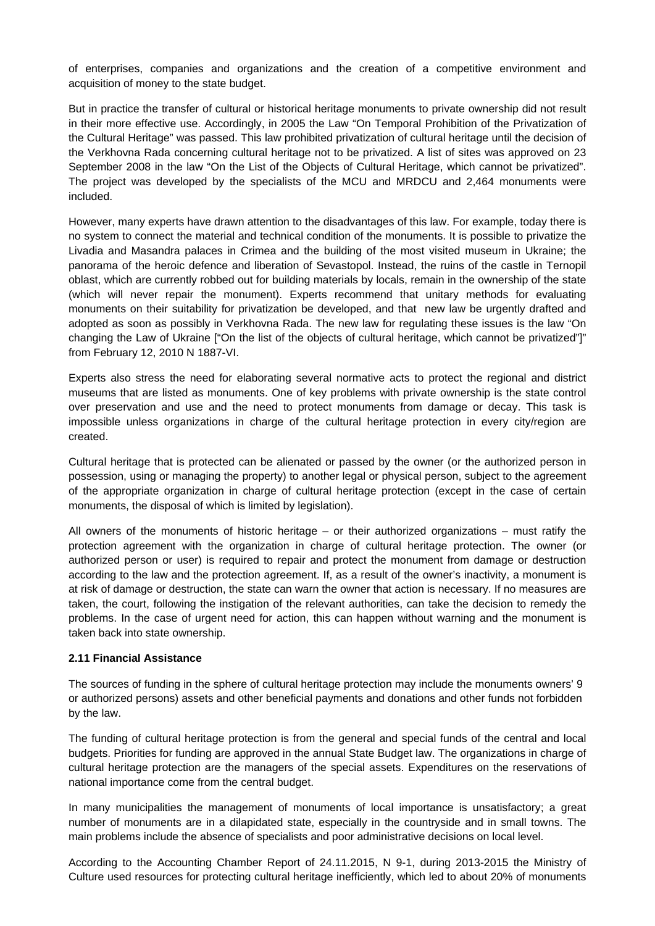of enterprises, companies and organizations and the creation of a competitive environment and acquisition of money to the state budget.

But in practice the transfer of cultural or historical heritage monuments to private ownership did not result in their more effective use. Accordingly, in 2005 the Law "On Temporal Prohibition of the Privatization of the Cultural Heritage" was passed. This law prohibited privatization of cultural heritage until the decision of the Verkhovna Rada concerning cultural heritage not to be privatized. A list of sites was approved on 23 September 2008 in the law "On the List of the Objects of Cultural Heritage, which cannot be privatized". The project was developed by the specialists of the MCU and MRDCU and 2,464 monuments were included.

However, many experts have drawn attention to the disadvantages of this law. For example, today there is no system to connect the material and technical condition of the monuments. It is possible to privatize the Livadia and Masandra palaces in Crimea and the building of the most visited museum in Ukraine; the panorama of the heroic defence and liberation of Sevastopol. Instead, the ruins of the castle in Ternopil oblast, which are currently robbed out for building materials by locals, remain in the ownership of the state (which will never repair the monument). Experts recommend that unitary methods for evaluating monuments on their suitability for privatization be developed, and that new law be urgently drafted and adopted as soon as possibly in Verkhovna Rada. The new law for regulating these issues is the law "On changing the Law of Ukraine ["On the list of the objects of cultural heritage, which cannot be privatized"]" from February 12, 2010 N 1887-VI.

Experts also stress the need for elaborating several normative acts to protect the regional and district museums that are listed as monuments. One of key problems with private ownership is the state control over preservation and use and the need to protect monuments from damage or decay. This task is impossible unless organizations in charge of the cultural heritage protection in every city/region are created.

Cultural heritage that is protected can be alienated or passed by the owner (or the authorized person in possession, using or managing the property) to another legal or physical person, subject to the agreement of the appropriate organization in charge of cultural heritage protection (except in the case of certain monuments, the disposal of which is limited by legislation).

All owners of the monuments of historic heritage – or their authorized organizations – must ratify the protection agreement with the organization in charge of cultural heritage protection. The owner (or authorized person or user) is required to repair and protect the monument from damage or destruction according to the law and the protection agreement. If, as a result of the owner's inactivity, a monument is at risk of damage or destruction, the state can warn the owner that action is necessary. If no measures are taken, the court, following the instigation of the relevant authorities, can take the decision to remedy the problems. In the case of urgent need for action, this can happen without warning and the monument is taken back into state ownership.

#### **2.11 Financial Assistance**

The sources of funding in the sphere of cultural heritage protection may include the monuments owners' 9 or authorized persons) assets and other beneficial payments and donations and other funds not forbidden by the law.

The funding of cultural heritage protection is from the general and special funds of the central and local budgets. Priorities for funding are approved in the annual State Budget law. The organizations in charge of cultural heritage protection are the managers of the special assets. Expenditures on the reservations of national importance come from the central budget.

In many municipalities the management of monuments of local importance is unsatisfactory; a great number of monuments are in a dilapidated state, especially in the countryside and in small towns. The main problems include the absence of specialists and poor administrative decisions on local level.

According to the Accounting Chamber Report of 24.11.2015, N 9-1, during 2013-2015 the Ministry of Culture used resources for protecting cultural heritage inefficiently, which led to about 20% of monuments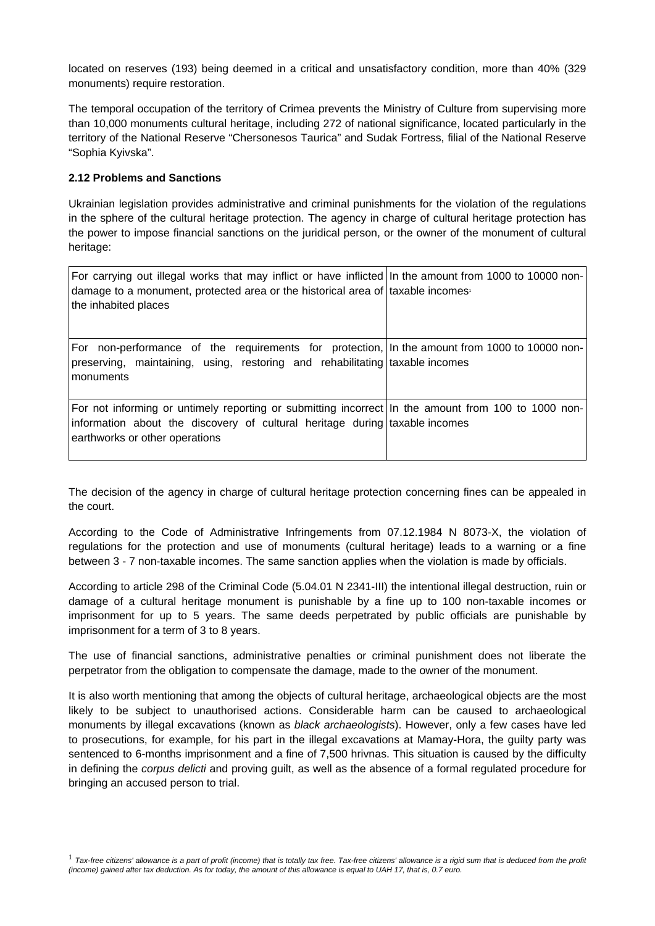located on reserves (193) being deemed in a critical and unsatisfactory condition, more than 40% (329 monuments) require restoration.

The temporal occupation of the territory of Crimea prevents the Ministry of Culture from supervising more than 10,000 monuments cultural heritage, including 272 of national significance, located particularly in the territory of the National Reserve "Chersonesos Taurica" and Sudak Fortress, filial of the National Reserve "Sophia Kyivska".

#### **2.12 Problems and Sanctions**

Ukrainian legislation provides administrative and criminal punishments for the violation of the regulations in the sphere of the cultural heritage protection. The agency in charge of cultural heritage protection has the power to impose financial sanctions on the juridical person, or the owner of the monument of cultural heritage:

| For carrying out illegal works that may inflict or have inflicted In the amount from 1000 to 10000 non-<br>damage to a monument, protected area or the historical area of taxable incomes<br>the inhabited places    |  |
|----------------------------------------------------------------------------------------------------------------------------------------------------------------------------------------------------------------------|--|
| For non-performance of the requirements for protection, In the amount from 1000 to 10000 non-<br>preserving, maintaining, using, restoring and rehabilitating taxable incomes<br>monuments                           |  |
| For not informing or untimely reporting or submitting incorrect In the amount from 100 to 1000 non-<br>information about the discovery of cultural heritage during taxable incomes<br>earthworks or other operations |  |

The decision of the agency in charge of cultural heritage protection concerning fines can be appealed in the court.

According to the Code of Administrative Infringements from 07.12.1984 N 8073-X, the violation of regulations for the protection and use of monuments (cultural heritage) leads to a warning or a fine between 3 - 7 non-taxable incomes. The same sanction applies when the violation is made by officials.

According to article 298 of the Criminal Code (5.04.01 N 2341-III) the intentional illegal destruction, ruin or damage of a cultural heritage monument is punishable by a fine up to 100 non-taxable incomes or imprisonment for up to 5 years. The same deeds perpetrated by public officials are punishable by imprisonment for a term of 3 to 8 years.

The use of financial sanctions, administrative penalties or criminal punishment does not liberate the perpetrator from the obligation to compensate the damage, made to the owner of the monument.

It is also worth mentioning that among the objects of cultural heritage, archaeological objects are the most likely to be subject to unauthorised actions. Considerable harm can be caused to archaeological monuments by illegal excavations (known as *black archaeologists*). However, only a few cases have led to prosecutions, for example, for his part in the illegal excavations at Mamay-Hora, the guilty party was sentenced to 6-months imprisonment and a fine of 7,500 hrivnas. This situation is caused by the difficulty in defining the *corpus delicti* and proving guilt, as well as the absence of a formal regulated procedure for bringing an accused person to trial.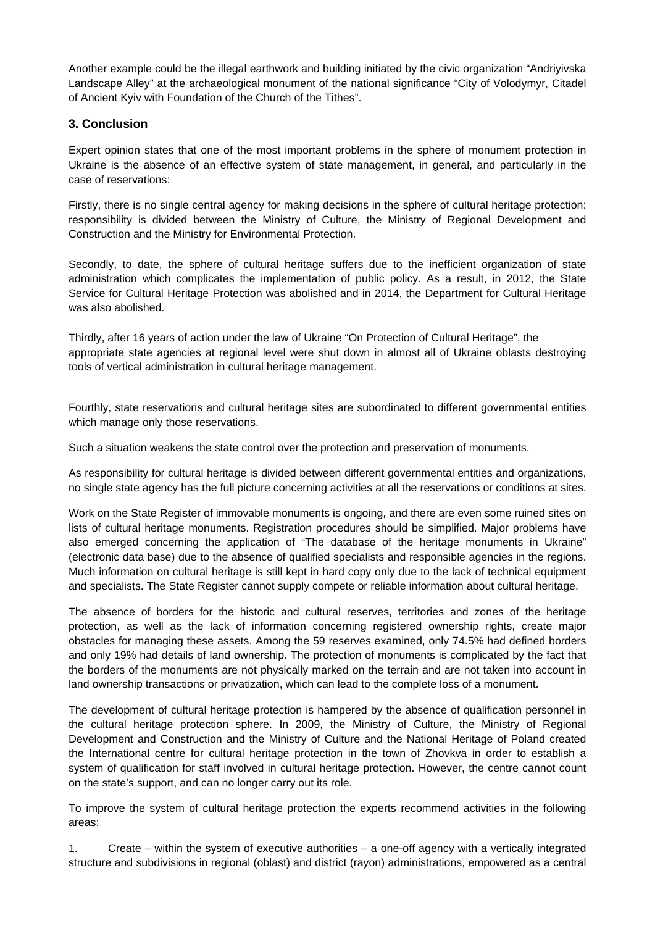Another example could be the illegal earthwork and building initiated by the civic organization "Andriyivska Landscape Alley" at the archaeological monument of the national significance "City of Volodymyr, Citadel of Ancient Kyiv with Foundation of the Church of the Tithes".

# **3. Conclusion**

Expert opinion states that one of the most important problems in the sphere of monument protection in Ukraine is the absence of an effective system of state management, in general, and particularly in the case of reservations:

Firstly, there is no single central agency for making decisions in the sphere of cultural heritage protection: responsibility is divided between the Ministry of Culture, the Ministry of Regional Development and Construction and the Ministry for Environmental Protection.

Secondly, to date, the sphere of cultural heritage suffers due to the inefficient organization of state administration which complicates the implementation of public policy. As a result, in 2012, the State Service for Cultural Heritage Protection was abolished and in 2014, the Department for Cultural Heritage was also abolished.

Thirdly, after 16 years of action under the law of Ukraine "On Protection of Cultural Heritage", the appropriate state agencies at regional level were shut down in almost all of Ukraine oblasts destroying tools of vertical administration in cultural heritage management.

Fourthly, state reservations and cultural heritage sites are subordinated to different governmental entities which manage only those reservations.

Such a situation weakens the state control over the protection and preservation of monuments.

As responsibility for cultural heritage is divided between different governmental entities and organizations, no single state agency has the full picture concerning activities at all the reservations or conditions at sites.

Work on the State Register of immovable monuments is ongoing, and there are even some ruined sites on lists of cultural heritage monuments. Registration procedures should be simplified. Major problems have also emerged concerning the application of "The database of the heritage monuments in Ukraine" (electronic data base) due to the absence of qualified specialists and responsible agencies in the regions. Much information on cultural heritage is still kept in hard copy only due to the lack of technical equipment and specialists. The State Register cannot supply compete or reliable information about cultural heritage.

The absence of borders for the historic and cultural reserves, territories and zones of the heritage protection, as well as the lack of information concerning registered ownership rights, create major obstacles for managing these assets. Among the 59 reserves examined, only 74.5% had defined borders and only 19% had details of land ownership. The protection of monuments is complicated by the fact that the borders of the monuments are not physically marked on the terrain and are not taken into account in land ownership transactions or privatization, which can lead to the complete loss of a monument.

The development of cultural heritage protection is hampered by the absence of qualification personnel in the cultural heritage protection sphere. In 2009, the Ministry of Culture, the Ministry of Regional Development and Construction and the Ministry of Culture and the National Heritage of Poland created the International centre for cultural heritage protection in the town of Zhovkva in order to establish a system of qualification for staff involved in cultural heritage protection. However, the centre cannot count on the state's support, and can no longer carry out its role.

To improve the system of cultural heritage protection the experts recommend activities in the following areas:

1. Create – within the system of executive authorities – a one-off agency with a vertically integrated structure and subdivisions in regional (oblast) and district (rayon) administrations, empowered as a central